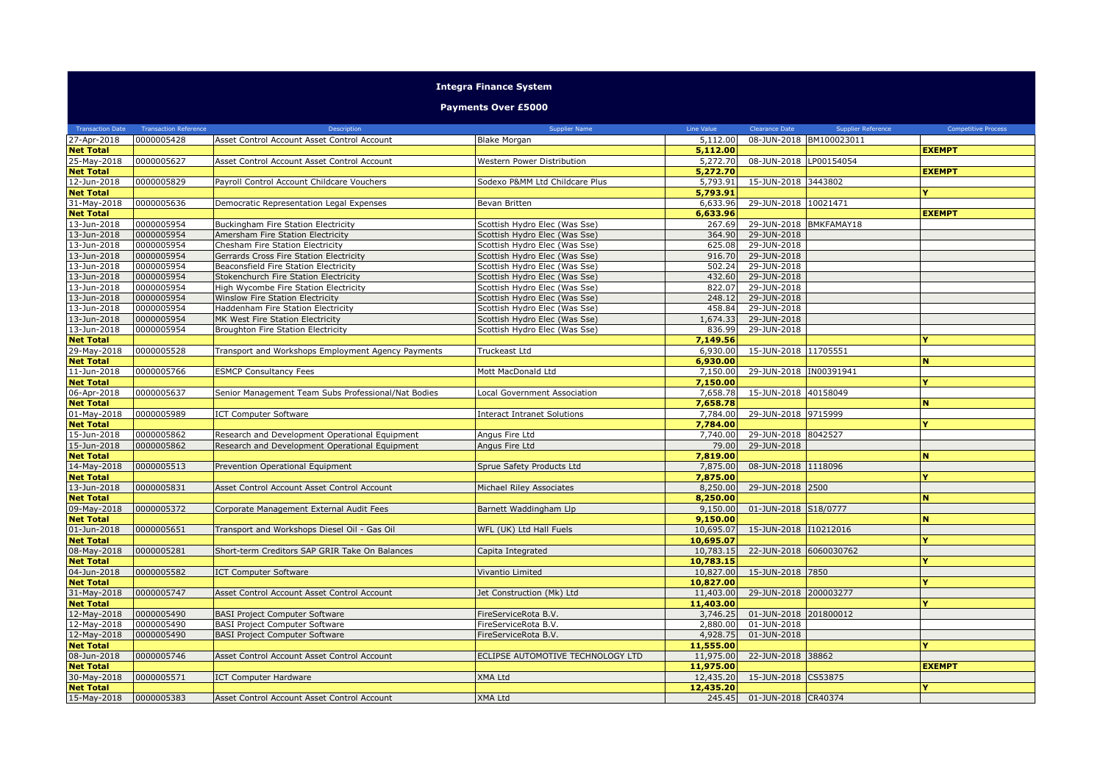## **Integra Finance System**

**Payments Over £5000**

| <b>Transaction Date</b>         | <b>Transaction Reference</b> | Description                                         | Supplier Name                      | Line Value           | <b>Clearance Date</b>  | <b>Supplier Reference</b> | <b>Competitive Process</b> |
|---------------------------------|------------------------------|-----------------------------------------------------|------------------------------------|----------------------|------------------------|---------------------------|----------------------------|
| 27-Apr-2018                     | 0000005428                   | Asset Control Account Asset Control Account         | Blake Morgan                       | 5,112.00             |                        | 08-JUN-2018 BM100023011   |                            |
| <b>Net Total</b>                |                              |                                                     |                                    | 5,112.00             |                        |                           | <b>EXEMPT</b>              |
| 25-May-2018                     | 0000005627                   | Asset Control Account Asset Control Account         | Western Power Distribution         | 5,272.70             | 08-JUN-2018 LP00154054 |                           |                            |
| <b>Net Total</b>                |                              |                                                     |                                    | 5,272.70             |                        |                           | <b>EXEMPT</b>              |
| 12-Jun-2018                     | 0000005829                   | Payroll Control Account Childcare Vouchers          | Sodexo P&MM Ltd Childcare Plus     | 5,793.91             | 15-JUN-2018 3443802    |                           |                            |
| <b>Net Total</b>                |                              |                                                     |                                    | 5,793.91             |                        |                           | Y                          |
| 31-May-2018                     | 0000005636                   | Democratic Representation Legal Expenses            | Bevan Britten                      | 6,633.96             | 29-JUN-2018 10021471   |                           |                            |
| <b>Net Total</b>                |                              |                                                     |                                    | 6,633.96             |                        |                           | <b>EXEMPT</b>              |
| 13-Jun-2018                     | 0000005954                   | <b>Buckingham Fire Station Electricity</b>          | Scottish Hydro Elec (Was Sse)      | 267.69               | 29-JUN-2018 BMKFAMAY18 |                           |                            |
| 13-Jun-2018                     | 0000005954                   | Amersham Fire Station Electricity                   | Scottish Hydro Elec (Was Sse)      | 364.90               | 29-JUN-2018            |                           |                            |
| 13-Jun-2018                     | 0000005954                   | Chesham Fire Station Electricity                    | Scottish Hydro Elec (Was Sse)      | 625.08               | 29-JUN-2018            |                           |                            |
| 13-Jun-2018                     | 0000005954                   | Gerrards Cross Fire Station Electricity             | Scottish Hydro Elec (Was Sse)      | 916.70               | 29-JUN-2018            |                           |                            |
| 13-Jun-2018                     | 0000005954                   | Beaconsfield Fire Station Electricity               | Scottish Hydro Elec (Was Sse)      | 502.24               | 29-JUN-2018            |                           |                            |
| 13-Jun-2018                     | 0000005954                   | Stokenchurch Fire Station Electricity               | Scottish Hydro Elec (Was Sse)      | 432.60               | 29-JUN-2018            |                           |                            |
| 13-Jun-2018                     | 0000005954                   | High Wycombe Fire Station Electricity               | Scottish Hydro Elec (Was Sse)      | 822.07               | 29-JUN-2018            |                           |                            |
| 13-Jun-2018                     | 0000005954                   | <b>Winslow Fire Station Electricity</b>             | Scottish Hydro Elec (Was Sse)      | 248.12               | 29-JUN-2018            |                           |                            |
| 13-Jun-2018                     | 0000005954                   | Haddenham Fire Station Electricity                  | Scottish Hydro Elec (Was Sse)      | 458.84               | 29-JUN-2018            |                           |                            |
| 13-Jun-2018                     | 0000005954                   | MK West Fire Station Electricity                    | Scottish Hydro Elec (Was Sse)      | 1,674.33             | 29-JUN-2018            |                           |                            |
| 13-Jun-2018                     | 0000005954                   | Broughton Fire Station Electricity                  | Scottish Hydro Elec (Was Sse)      | 836.99               | 29-JUN-2018            |                           |                            |
| <b>Net Total</b>                |                              |                                                     |                                    | 7,149.56             |                        |                           | Y                          |
| 29-May-2018                     | 0000005528                   | Transport and Workshops Employment Agency Payments  | Truckeast Ltd                      | 6,930.00             | 15-JUN-2018 11705551   |                           |                            |
| <b>Net Total</b>                |                              |                                                     |                                    | 6,930.00             |                        |                           | N.                         |
| 11-Jun-2018                     | 0000005766                   | <b>ESMCP Consultancy Fees</b>                       | Mott MacDonald Ltd                 | 7,150.00             | 29-JUN-2018 IN00391941 |                           |                            |
| <b>Net Total</b>                |                              |                                                     |                                    | 7,150.00             |                        |                           | Y                          |
| 06-Apr-2018<br><b>Net Total</b> | 0000005637                   | Senior Management Team Subs Professional/Nat Bodies | Local Government Association       | 7,658.78             | 15-JUN-2018 40158049   |                           | N                          |
| 01-May-2018                     | 0000005989                   |                                                     |                                    | 7,658.78<br>7,784.00 | 29-JUN-2018 9715999    |                           |                            |
| <b>Net Total</b>                |                              | <b>ICT Computer Software</b>                        | <b>Interact Intranet Solutions</b> | 7,784.00             |                        |                           | Y                          |
| 15-Jun-2018                     | 0000005862                   | Research and Development Operational Equipment      | Angus Fire Ltd                     | 7,740.00             | 29-JUN-2018 8042527    |                           |                            |
| 15-Jun-2018                     | 0000005862                   | Research and Development Operational Equipment      | Angus Fire Ltd                     | 79.00                | 29-JUN-2018            |                           |                            |
| <b>Net Total</b>                |                              |                                                     |                                    | 7,819.00             |                        |                           | N                          |
| 14-May-2018                     | 0000005513                   | Prevention Operational Equipment                    | Sprue Safety Products Ltd          | 7,875.00             | 08-JUN-2018 1118096    |                           |                            |
| <b>Net Total</b>                |                              |                                                     |                                    | 7.875.00             |                        |                           | Y                          |
| 13-Jun-2018                     | 0000005831                   | Asset Control Account Asset Control Account         | Michael Riley Associates           | 8,250.00             | 29-JUN-2018 2500       |                           |                            |
| <b>Net Total</b>                |                              |                                                     |                                    | 8,250,00             |                        |                           | N                          |
| 09-May-2018                     | 0000005372                   | Corporate Management External Audit Fees            | Barnett Waddingham Llp             | 9,150.00             | 01-JUN-2018 S18/0777   |                           |                            |
| <b>Net Total</b>                |                              |                                                     |                                    | 9,150.00             |                        |                           | N                          |
| 01-Jun-2018                     | 0000005651                   | Transport and Workshops Diesel Oil - Gas Oil        | WFL (UK) Ltd Hall Fuels            | 10,695.07            | 15-JUN-2018 110212016  |                           |                            |
| <b>Net Total</b>                |                              |                                                     |                                    | 10,695.07            |                        |                           | v                          |
| 08-May-2018                     | 0000005281                   | Short-term Creditors SAP GRIR Take On Balances      | Capita Integrated                  | 10,783.15            | 22-JUN-2018 6060030762 |                           |                            |
| <b>Net Total</b>                |                              |                                                     |                                    | 10,783.15            |                        |                           |                            |
| 04-Jun-2018                     | 0000005582                   | <b>ICT Computer Software</b>                        | Vivantio Limited                   | 10,827.00            | 15-JUN-2018 7850       |                           |                            |
| <b>Net Total</b>                |                              |                                                     |                                    | 10,827.00            |                        |                           | v                          |
| 31-May-2018                     | 0000005747                   | Asset Control Account Asset Control Account         | Jet Construction (Mk) Ltd          | 11,403.00            | 29-JUN-2018 200003277  |                           |                            |
| <b>Net Total</b>                |                              |                                                     |                                    | 11,403.00            |                        |                           | Y                          |
| 12-May-2018                     | 0000005490                   | <b>BASI Project Computer Software</b>               | FireServiceRota B.V.               | 3,746.25             | 01-JUN-2018 201800012  |                           |                            |
| 12-May-2018                     | 0000005490                   | <b>BASI Project Computer Software</b>               | FireServiceRota B.V.               | 2,880.00             | 01-JUN-2018            |                           |                            |
| 12-May-2018                     | 0000005490                   | <b>BASI Project Computer Software</b>               | FireServiceRota B.V.               | 4,928.75             | 01-JUN-2018            |                           |                            |
| <b>Net Total</b>                |                              |                                                     |                                    | 11,555.00            |                        |                           | v                          |
| 08-Jun-2018                     | 0000005746                   | Asset Control Account Asset Control Account         | ECLIPSE AUTOMOTIVE TECHNOLOGY LTD  | 11,975.00            | 22-JUN-2018 38862      |                           |                            |
| <b>Net Total</b>                |                              |                                                     |                                    | 11,975.00            |                        |                           | <b>EXEMPT</b>              |
| 30-May-2018                     | 0000005571                   | <b>ICT Computer Hardware</b>                        | <b>XMA Ltd</b>                     | 12,435.20            | 15-JUN-2018 CS53875    |                           |                            |
| <b>Net Total</b>                |                              |                                                     |                                    | 12,435.20            |                        |                           |                            |
| 15-May-2018                     | 0000005383                   | Asset Control Account Asset Control Account         | <b>XMA Ltd</b>                     | 245.45               | 01-JUN-2018 CR40374    |                           |                            |